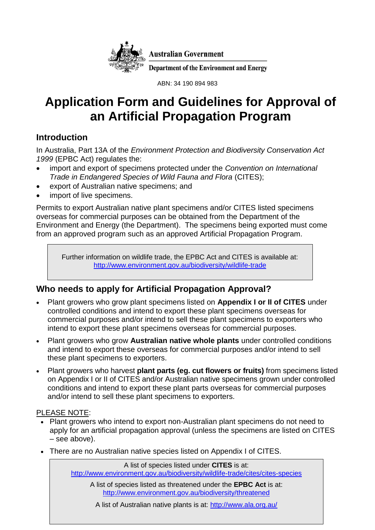

ABN: 34 190 894 983

# **Application Form and Guidelines for Approval of an Artificial Propagation Program**

# **Introduction**

In Australia, Part 13A of the *Environment Protection and Biodiversity Conservation Act 1999* (EPBC Act) regulates the:

- import and export of specimens protected under the *Convention on International Trade in Endangered Species of Wild Fauna and Flora* (CITES);
- export of Australian native specimens; and
- import of live specimens.

Permits to export Australian native plant specimens and/or CITES listed specimens overseas for commercial purposes can be obtained from the Department of the Environment and Energy (the Department). The specimens being exported must come from an approved program such as an approved Artificial Propagation Program.

Further information on wildlife trade, the EPBC Act and CITES is available at: <http://www.environment.gov.au/biodiversity/wildlife-trade>

# **Who needs to apply for Artificial Propagation Approval?**

- Plant growers who grow plant specimens listed on **Appendix I or II of CITES** under controlled conditions and intend to export these plant specimens overseas for commercial purposes and/or intend to sell these plant specimens to exporters who intend to export these plant specimens overseas for commercial purposes.
- Plant growers who grow **Australian native whole plants** under controlled conditions and intend to export these overseas for commercial purposes and/or intend to sell these plant specimens to exporters.
- Plant growers who harvest **plant parts (eg. cut flowers or fruits)** from specimens listed on Appendix I or II of CITES and/or Australian native specimens grown under controlled conditions and intend to export these plant parts overseas for commercial purposes and/or intend to sell these plant specimens to exporters.

### PLEASE NOTE:

- Plant growers who intend to export non-Australian plant specimens do not need to apply for an artificial propagation approval (unless the specimens are listed on CITES – see above).
- There are no Australian native species listed on Appendix I of CITES.

A list of species listed under **CITES** is at: <http://www.environment.gov.au/biodiversity/wildlife-trade/cites/cites-species>

A list of species listed as threatened under the **EPBC Act** is at: <http://www.environment.gov.au/biodiversity/threatened>

A list of Australian native plants is at:<http://www.ala.org.au/>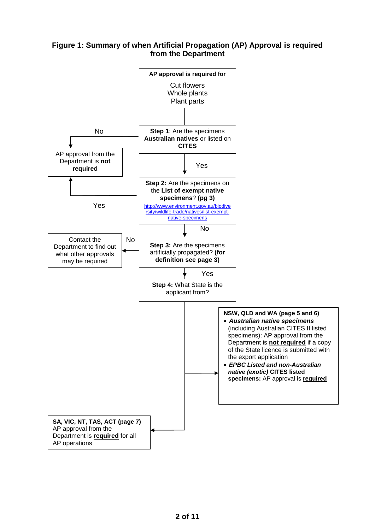### **Figure 1: Summary of when Artificial Propagation (AP) Approval is required from the Department**

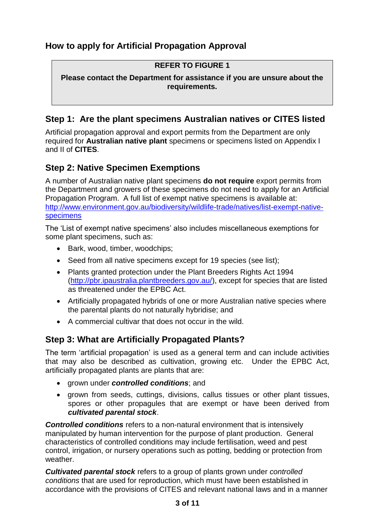### **REFER TO FIGURE 1**

**Please contact the Department for assistance if you are unsure about the requirements.** 

# **Step 1: Are the plant specimens Australian natives or CITES listed**

Artificial propagation approval and export permits from the Department are only required for **Australian native plant** specimens or specimens listed on Appendix I and II of **CITES**.

# **Step 2: Native Specimen Exemptions**

A number of Australian native plant specimens **do not require** export permits from the Department and growers of these specimens do not need to apply for an Artificial Propagation Program. A full list of exempt native specimens is available at: [http://www.environment.gov.au/biodiversity/wildlife-trade/natives/list-exempt-native](http://www.environment.gov.au/biodiversity/wildlife-trade/natives/list-exempt-native-specimens)[specimens](http://www.environment.gov.au/biodiversity/wildlife-trade/natives/list-exempt-native-specimens)

The 'List of exempt native specimens' also includes miscellaneous exemptions for some plant specimens, such as:

- Bark, wood, timber, woodchips:
- Seed from all native specimens except for 19 species (see list);
- Plants granted protection under the Plant Breeders Rights Act 1994 [\(http://pbr.ipaustralia.plantbreeders.gov.au/\)](http://pbr.ipaustralia.plantbreeders.gov.au/), except for species that are listed as threatened under the EPBC Act.
- Artificially propagated hybrids of one or more Australian native species where the parental plants do not naturally hybridise; and
- A commercial cultivar that does not occur in the wild.

# **Step 3: What are Artificially Propagated Plants?**

The term 'artificial propagation' is used as a general term and can include activities that may also be described as cultivation, growing etc. Under the EPBC Act, artificially propagated plants are plants that are:

- **•** arown under *controlled conditions*; and
- grown from seeds, cuttings, divisions, callus tissues or other plant tissues, spores or other propagules that are exempt or have been derived from *cultivated parental stock*.

*Controlled conditions* refers to a non-natural environment that is intensively manipulated by human intervention for the purpose of plant production. General characteristics of controlled conditions may include fertilisation, weed and pest control, irrigation, or nursery operations such as potting, bedding or protection from weather.

*Cultivated parental stock* refers to a group of plants grown under *controlled conditions* that are used for reproduction, which must have been established in accordance with the provisions of CITES and relevant national laws and in a manner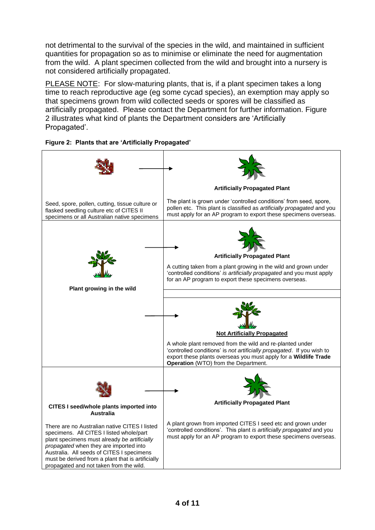not detrimental to the survival of the species in the wild, and maintained in sufficient quantities for propagation so as to minimise or eliminate the need for augmentation from the wild. A plant specimen collected from the wild and brought into a nursery is not considered artificially propagated.

PLEASE NOTE: For slow-maturing plants, that is, if a plant specimen takes a long time to reach reproductive age (eg some cycad species), an exemption may apply so that specimens grown from wild collected seeds or spores will be classified as artificially propagated. Please contact the Department for further information. Figure 2 illustrates what kind of plants the Department considers are 'Artificially Propagated'.



**Figure 2: Plants that are 'Artificially Propagated'**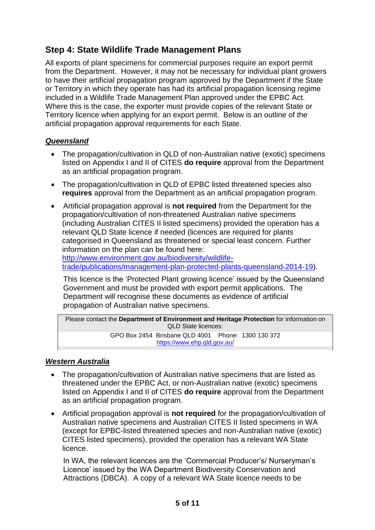# **Step 4: State Wildlife Trade Management Plans**

All exports of plant specimens for commercial purposes require an export permit from the Department. However, it may not be necessary for individual plant growers to have their artificial propagation program approved by the Department if the State or Territory in which they operate has had its artificial propagation licensing regime included in a Wildlife Trade Management Plan approved under the EPBC Act. Where this is the case, the exporter must provide copies of the relevant State or Territory licence when applying for an export permit. Below is an outline of the artificial propagation approval requirements for each State.

### *Queensland*

- The propagation/cultivation in QLD of non-Australian native (exotic) specimens listed on Appendix I and II of CITES **do require** approval from the Department as an artificial propagation program.
- The propagation/cultivation in QLD of EPBC listed threatened species also **requires** approval from the Department as an artificial propagation program.
- Artificial propagation approval is **not required** from the Department for the propagation/cultivation of non-threatened Australian native specimens (including Australian CITES II listed specimens) provided the operation has a relevant QLD State licence if needed (licences are required for plants categorised in Queensland as threatened or special least concern. Further information on the plan can be found here:

[http://www.environment.gov.au/biodiversity/wildlife](http://www.environment.gov.au/biodiversity/wildlife-trade/publications/management-plan-protected-plants-queensland-2014-19)[trade/publications/management-plan-protected-plants-queensland-2014-19\)](http://www.environment.gov.au/biodiversity/wildlife-trade/publications/management-plan-protected-plants-queensland-2014-19).

This licence is the 'Protected Plant growing licence' issued by the Queensland Government and must be provided with export permit applications. The Department will recognise these documents as evidence of artificial propagation of Australian native specimens.

Please contact the **Department of Environment and Heritage Protection** for information on QLD State licences: GPO Box 2454 Brisbane QLD 4001 Phone: 1300 130 372 <https://www.ehp.qld.gov.au/>

### *Western Australia*

- The propagation/cultivation of Australian native specimens that are listed as threatened under the EPBC Act, or non-Australian native (exotic) specimens listed on Appendix I and II of CITES **do require** approval from the Department as an artificial propagation program.
- Artificial propagation approval is **not required** for the propagation/cultivation of Australian native specimens and Australian CITES II listed specimens in WA (except for EPBC-listed threatened species and non-Australian native (exotic) CITES listed specimens), provided the operation has a relevant WA State licence.

In WA, the relevant licences are the 'Commercial Producer's/ Nurseryman's Licence' issued by the WA Department Biodiversity Conservation and Attractions (DBCA). A copy of a relevant WA State licence needs to be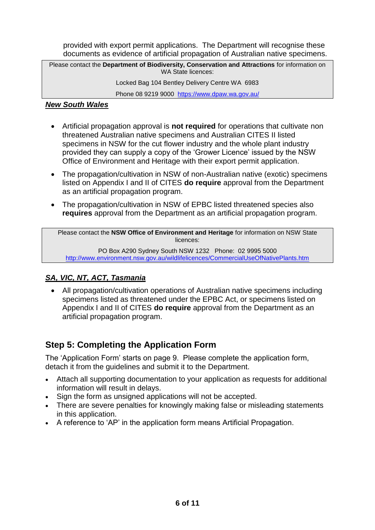provided with export permit applications. The Department will recognise these documents as evidence of artificial propagation of Australian native specimens.

Please contact the **Department of Biodiversity, Conservation and Attractions** for information on WA State licences:

Locked Bag 104 Bentley Delivery Centre WA 6983

Phone 08 9219 9000 <https://www.dpaw.wa.gov.au/>

### *New South Wales*

- Artificial propagation approval is **not required** for operations that cultivate non threatened Australian native specimens and Australian CITES II listed specimens in NSW for the cut flower industry and the whole plant industry provided they can supply a copy of the 'Grower Licence' issued by the NSW Office of Environment and Heritage with their export permit application.
- The propagation/cultivation in NSW of non-Australian native (exotic) specimens listed on Appendix I and II of CITES **do require** approval from the Department as an artificial propagation program.
- The propagation/cultivation in NSW of EPBC listed threatened species also **requires** approval from the Department as an artificial propagation program.

Please contact the **NSW Office of Environment and Heritage** for information on NSW State licences:

PO Box A290 Sydney South NSW 1232 Phone: 02 9995 5000 <http://www.environment.nsw.gov.au/wildlifelicences/CommercialUseOfNativePlants.htm>

### *SA, VIC, NT, ACT, Tasmania*

 All propagation/cultivation operations of Australian native specimens including specimens listed as threatened under the EPBC Act, or specimens listed on Appendix I and II of CITES **do require** approval from the Department as an artificial propagation program.

# **Step 5: Completing the Application Form**

The 'Application Form' starts on page 9. Please complete the application form, detach it from the guidelines and submit it to the Department.

- Attach all supporting documentation to your application as requests for additional information will result in delays.
- Sign the form as unsigned applications will not be accepted.
- There are severe penalties for knowingly making false or misleading statements in this application.
- A reference to 'AP' in the application form means Artificial Propagation.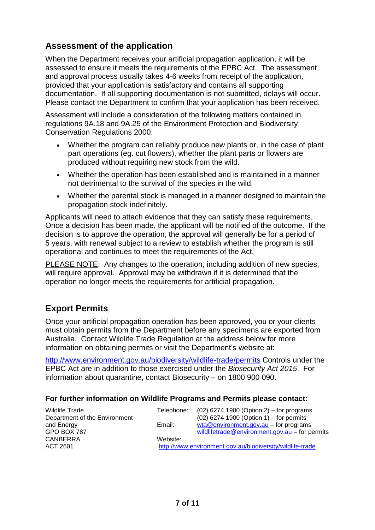# **Assessment of the application**

When the Department receives your artificial propagation application, it will be assessed to ensure it meets the requirements of the EPBC Act. The assessment and approval process usually takes 4-6 weeks from receipt of the application, provided that your application is satisfactory and contains all supporting documentation. If all supporting documentation is not submitted, delays will occur. Please contact the Department to confirm that your application has been received.

Assessment will include a consideration of the following matters contained in regulations 9A.18 and 9A.25 of the Environment Protection and Biodiversity Conservation Regulations 2000:

- Whether the program can reliably produce new plants or, in the case of plant part operations (eg. cut flowers), whether the plant parts or flowers are produced without requiring new stock from the wild.
- Whether the operation has been established and is maintained in a manner not detrimental to the survival of the species in the wild.
- Whether the parental stock is managed in a manner designed to maintain the propagation stock indefinitely.

Applicants will need to attach evidence that they can satisfy these requirements. Once a decision has been made, the applicant will be notified of the outcome. If the decision is to approve the operation, the approval will generally be for a period of 5 years, with renewal subject to a review to establish whether the program is still operational and continues to meet the requirements of the Act.

PLEASE NOTE: Any changes to the operation, including addition of new species, will require approval. Approval may be withdrawn if it is determined that the operation no longer meets the requirements for artificial propagation.

# **Export Permits**

Once your artificial propagation operation has been approved, you or your clients must obtain permits from the Department before any specimens are exported from Australia. Contact Wildlife Trade Regulation at the address below for more information on obtaining permits or visit the Department's website at:

<http://www.environment.gov.au/biodiversity/wildlife-trade/permits> Controls under the EPBC Act are in addition to those exercised under the *Biosecurity Act 2015*. For information about quarantine, contact Biosecurity – on 1800 900 090.

### **For further information on Wildlife Programs and Permits please contact:**

| Wildlife Trade                | Telephone:                                                | $(02)$ 6274 1900 (Option 2) – for programs     |
|-------------------------------|-----------------------------------------------------------|------------------------------------------------|
| Department of the Environment |                                                           | $(02)$ 6274 1900 (Option 1) – for permits      |
| and Energy                    | Email:                                                    | $wta@environment.gov.au - for programs$        |
| GPO BOX 787                   |                                                           | wildlifetrade@environment.gov.au – for permits |
| <b>CANBERRA</b>               | Website:                                                  |                                                |
| ACT 2601                      | http://www.environment.gov.au/biodiversity/wildlife-trade |                                                |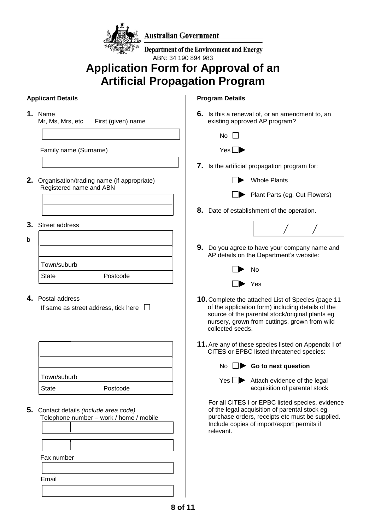

**Australian Government** 

**Department of the Environment and Energy** ABN: 34 190 894 983

# **Application Form for Approval of an Artificial Propagation Program**

### **Applicant Details**

**1.** Name

Mr, Ms, Mrs, etc First (given) name

Family name (Surname)

- **2.** Organisation/trading name (if appropriate) Registered name and ABN
- **3.** Street address

| b            |             |          |  |
|--------------|-------------|----------|--|
|              |             |          |  |
|              | Town/suburb |          |  |
| <b>State</b> |             | Postcode |  |

### **4.** Postal address

| If same as street address, tick here $\Box$ |  |
|---------------------------------------------|--|
|                                             |  |

| Town/suburb  |          |  |  |
|--------------|----------|--|--|
| <b>State</b> | Postcode |  |  |

**5.** Contact details *(include area code)* Telephone number – work / home / mobile

| Fax number |  |  |
|------------|--|--|
|            |  |  |
| Email      |  |  |
|            |  |  |

#### **Program Details**

- **6.** Is this a renewal of, or an amendment to, an existing approved AP program?
	- $N<sub>0</sub>$   $\Box$



- **7.** Is the artificial propagation program for:
	- Whole Plants



**Plant Parts (eg. Cut Flowers)** 

**8.** Date of establishment of the operation.



**9.** Do you agree to have your company name and AP details on the Department's website:



- **10.**Complete the attached List of Species (page 11 of the application form) including details of the source of the parental stock/original plants eg nursery, grown from cuttings, grown from wild collected seeds.
- **11.**Are any of these species listed on Appendix I of CITES or EPBC listed threatened species:



No **Go to next question**

| ÷ |  |
|---|--|
|   |  |

 $\blacktriangleright$  Attach evidence of the legal acquisition of parental stock

For all CITES I or EPBC listed species, evidence of the legal acquisition of parental stock eg purchase orders, receipts etc must be supplied. Include copies of import/export permits if relevant.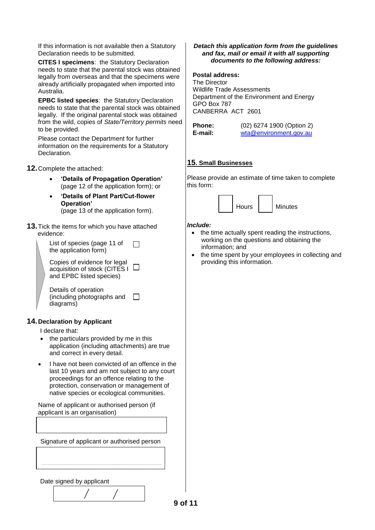If this information is not available then a Statutory Declaration needs to be submitted.

**CITES I specimens**: the Statutory Declaration needs to state that the parental stock was obtained legally from overseas and that the specimens were already artificially propagated when imported into Australia.

**EPBC listed species**: the Statutory Declaration needs to state that the parental stock was obtained legally. If the original parental stock was obtained from the wild, copies of *State/Territory permits* need to be provided.

Please contact the Department for further information on the requirements for a Statutory Declaration.

**12.**Complete the attached:

- **'Details of Propagation Operation'** (page 12 of the application form); or
- **'Details of Plant Part/Cut-flower Operation'**  (page 13 of the application form).

**13.**Tick the items for which you have attached evidence:

| List of species (page 11 of<br>the application form)                                      |  |
|-------------------------------------------------------------------------------------------|--|
| Copies of evidence for legal<br>acquisition of stock (CITES I<br>and EPBC listed species) |  |
| Details of operation<br>(including photographs and<br>diagrams)                           |  |

#### **14.Declaration by Applicant**

I declare that:

- the particulars provided by me in this application (including attachments) are true and correct in every detail.
- I have not been convicted of an offence in the last 10 years and am not subject to any court proceedings for an offence relating to the protection, conservation or management of native species or ecological communities.

Name of applicant or authorised person (if applicant is an organisation)

Signature of applicant or authorised person

#### Date signed by applicant

*Detach this application form from the guidelines and fax, mail or email it with all supporting documents to the following address:*

#### **Postal address:**

The Director Wildlife Trade Assessments Department of the Environment and Energy GPO Box 787 CANBERRA ACT 2601

| Phone:  |  |
|---------|--|
| E-mail: |  |

**Phone:** (02) 6274 1900 (Option 2) **E-mail:** [wta@environment.gov.au](mailto:wildlifetrade@environment.gov.au)

#### **15. Small Businesses**

Please provide an estimate of time taken to complete this form:



#### *Include:*

- $\bullet$  the time actually spent reading the instructions, working on the questions and obtaining the information; and
- the time spent by your employees in collecting and providing this information.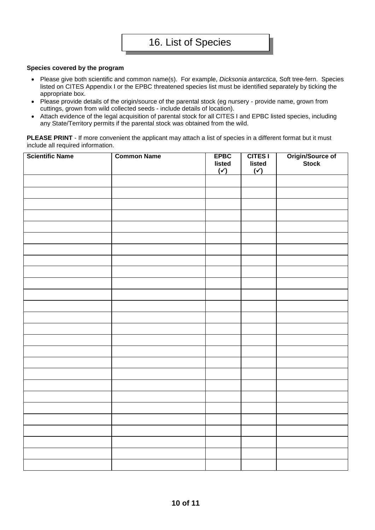#### **Species covered by the program**

- Please give both scientific and common name(s). For example, *Dicksonia antarctica*, Soft tree-fern. Species listed on CITES Appendix I or the EPBC threatened species list must be identified separately by ticking the appropriate box.
- Please provide details of the origin/source of the parental stock (eg nursery provide name, grown from cuttings, grown from wild collected seeds - include details of location).
- Attach evidence of the legal acquisition of parental stock for all CITES I and EPBC listed species, including any State/Territory permits if the parental stock was obtained from the wild.

**PLEASE PRINT** - If more convenient the applicant may attach a list of species in a different format but it must include all required information.

| <b>Scientific Name</b> | <b>Common Name</b> | <b>EPBC</b><br>listed<br>$(\check{y})$ | CITES I<br>listed<br>$(\checkmark)$ | Origin/Source of<br>Stock |
|------------------------|--------------------|----------------------------------------|-------------------------------------|---------------------------|
|                        |                    |                                        |                                     |                           |
|                        |                    |                                        |                                     |                           |
|                        |                    |                                        |                                     |                           |
|                        |                    |                                        |                                     |                           |
|                        |                    |                                        |                                     |                           |
|                        |                    |                                        |                                     |                           |
|                        |                    |                                        |                                     |                           |
|                        |                    |                                        |                                     |                           |
|                        |                    |                                        |                                     |                           |
|                        |                    |                                        |                                     |                           |
|                        |                    |                                        |                                     |                           |
|                        |                    |                                        |                                     |                           |
|                        |                    |                                        |                                     |                           |
|                        |                    |                                        |                                     |                           |
|                        |                    |                                        |                                     |                           |
|                        |                    |                                        |                                     |                           |
|                        |                    |                                        |                                     |                           |
|                        |                    |                                        |                                     |                           |
|                        |                    |                                        |                                     |                           |
|                        |                    |                                        |                                     |                           |
|                        |                    |                                        |                                     |                           |
|                        |                    |                                        |                                     |                           |
|                        |                    |                                        |                                     |                           |
|                        |                    |                                        |                                     |                           |
|                        |                    |                                        |                                     |                           |
|                        |                    |                                        |                                     |                           |